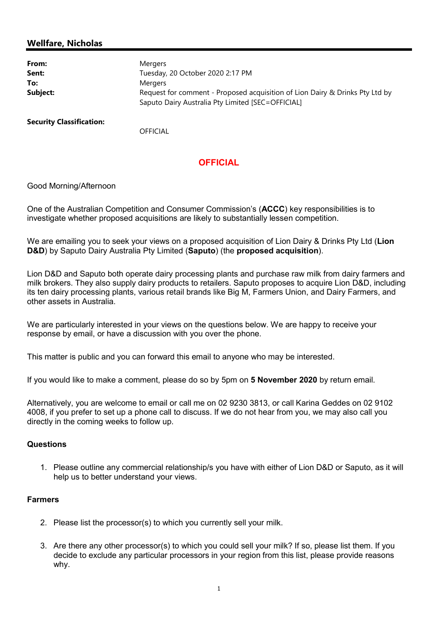# Wellfare, Nicholas

| From:    | <b>Mergers</b>                                                                                                                    |
|----------|-----------------------------------------------------------------------------------------------------------------------------------|
| Sent:    | Tuesday, 20 October 2020 2:17 PM                                                                                                  |
| To:      | <b>Mergers</b>                                                                                                                    |
| Subject: | Request for comment - Proposed acquisition of Lion Dairy & Drinks Pty Ltd by<br>Saputo Dairy Australia Pty Limited [SEC=OFFICIAL] |

Security Classification:

**OFFICIAL** 

# **OFFICIAL**

#### Good Morning/Afternoon

One of the Australian Competition and Consumer Commission's (ACCC) key responsibilities is to investigate whether proposed acquisitions are likely to substantially lessen competition.

We are emailing you to seek your views on a proposed acquisition of Lion Dairy & Drinks Pty Ltd (Lion D&D) by Saputo Dairy Australia Pty Limited (Saputo) (the proposed acquisition).

Lion D&D and Saputo both operate dairy processing plants and purchase raw milk from dairy farmers and milk brokers. They also supply dairy products to retailers. Saputo proposes to acquire Lion D&D, including its ten dairy processing plants, various retail brands like Big M, Farmers Union, and Dairy Farmers, and other assets in Australia.

We are particularly interested in your views on the questions below. We are happy to receive your response by email, or have a discussion with you over the phone.

This matter is public and you can forward this email to anyone who may be interested.

If you would like to make a comment, please do so by 5pm on **5 November 2020** by return email.

Alternatively, you are welcome to email or call me on 02 9230 3813, or call Karina Geddes on 02 9102 4008, if you prefer to set up a phone call to discuss. If we do not hear from you, we may also call you directly in the coming weeks to follow up.

#### **Questions**

1. Please outline any commercial relationship/s you have with either of Lion D&D or Saputo, as it will help us to better understand your views.

#### Farmers

- 2. Please list the processor(s) to which you currently sell your milk.
- 3. Are there any other processor(s) to which you could sell your milk? If so, please list them. If you decide to exclude any particular processors in your region from this list, please provide reasons why.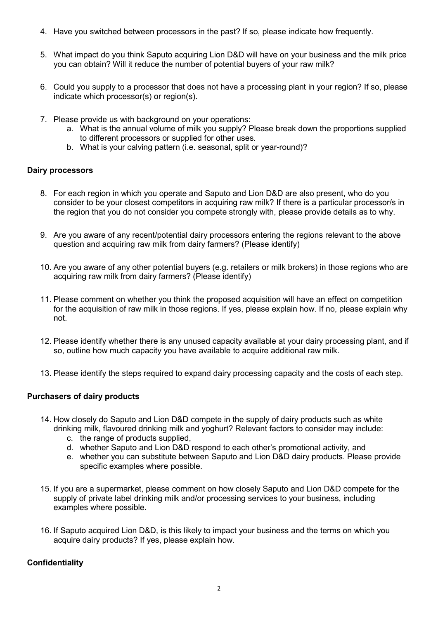- 4. Have you switched between processors in the past? If so, please indicate how frequently.
- 5. What impact do you think Saputo acquiring Lion D&D will have on your business and the milk price you can obtain? Will it reduce the number of potential buyers of your raw milk?
- 6. Could you supply to a processor that does not have a processing plant in your region? If so, please indicate which processor(s) or region(s).
- 7. Please provide us with background on your operations:
	- a. What is the annual volume of milk you supply? Please break down the proportions supplied to different processors or supplied for other uses.
	- b. What is your calving pattern (i.e. seasonal, split or year-round)?

### Dairy processors

- 8. For each region in which you operate and Saputo and Lion D&D are also present, who do you consider to be your closest competitors in acquiring raw milk? If there is a particular processor/s in the region that you do not consider you compete strongly with, please provide details as to why.
- 9. Are you aware of any recent/potential dairy processors entering the regions relevant to the above question and acquiring raw milk from dairy farmers? (Please identify)
- 10. Are you aware of any other potential buyers (e.g. retailers or milk brokers) in those regions who are acquiring raw milk from dairy farmers? (Please identify)
- 11. Please comment on whether you think the proposed acquisition will have an effect on competition for the acquisition of raw milk in those regions. If yes, please explain how. If no, please explain why not.
- 12. Please identify whether there is any unused capacity available at your dairy processing plant, and if so, outline how much capacity you have available to acquire additional raw milk.
- 13. Please identify the steps required to expand dairy processing capacity and the costs of each step.

## Purchasers of dairy products

- 14. How closely do Saputo and Lion D&D compete in the supply of dairy products such as white drinking milk, flavoured drinking milk and yoghurt? Relevant factors to consider may include:
	- c. the range of products supplied,
	- d. whether Saputo and Lion D&D respond to each other's promotional activity, and
	- e. whether you can substitute between Saputo and Lion D&D dairy products. Please provide specific examples where possible.
- 15. If you are a supermarket, please comment on how closely Saputo and Lion D&D compete for the supply of private label drinking milk and/or processing services to your business, including examples where possible.
- 16. If Saputo acquired Lion D&D, is this likely to impact your business and the terms on which you acquire dairy products? If yes, please explain how.

## **Confidentiality**